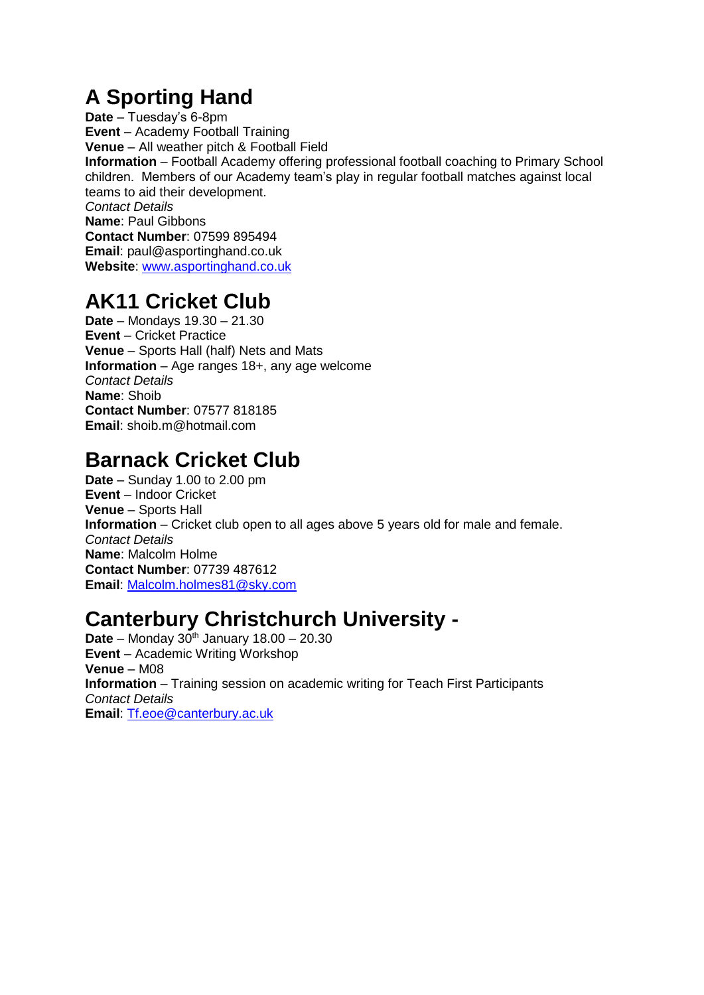# **A Sporting Hand**

**Date** – Tuesday's 6-8pm **Event** – Academy Football Training **Venue** – All weather pitch & Football Field **Information** – Football Academy offering professional football coaching to Primary School children. Members of our Academy team's play in regular football matches against local teams to aid their development. *Contact Details* **Name**: Paul Gibbons **Contact Number**: 07599 895494 **Email**: paul@asportinghand.co.uk **Website**: [www.asportinghand.co.uk](http://www.asportinghand.co.uk/)

### **AK11 Cricket Club**

**Date** – Mondays 19.30 – 21.30 **Event** – Cricket Practice **Venue** – Sports Hall (half) Nets and Mats **Information** – Age ranges 18+, any age welcome *Contact Details* **Name**: Shoib **Contact Number**: 07577 818185 **Email**: shoib.m@hotmail.com

# **Barnack Cricket Club**

**Date** – Sunday 1.00 to 2.00 pm **Event** – Indoor Cricket **Venue** – Sports Hall **Information** – Cricket club open to all ages above 5 years old for male and female. *Contact Details* **Name**: Malcolm Holme **Contact Number**: 07739 487612 **Email**: [Malcolm.holmes81@sky.com](mailto:Malcolm.holmes81@sky.com)

# **Canterbury Christchurch University -**

**Date** – Monday 30<sup>th</sup> January 18.00 – 20.30 **Event** – Academic Writing Workshop **Venue** – M08 **Information** – Training session on academic writing for Teach First Participants *Contact Details* **Email**: [Tf.eoe@canterbury.ac.uk](mailto:Tf.eoe@canterbury.ac.uk)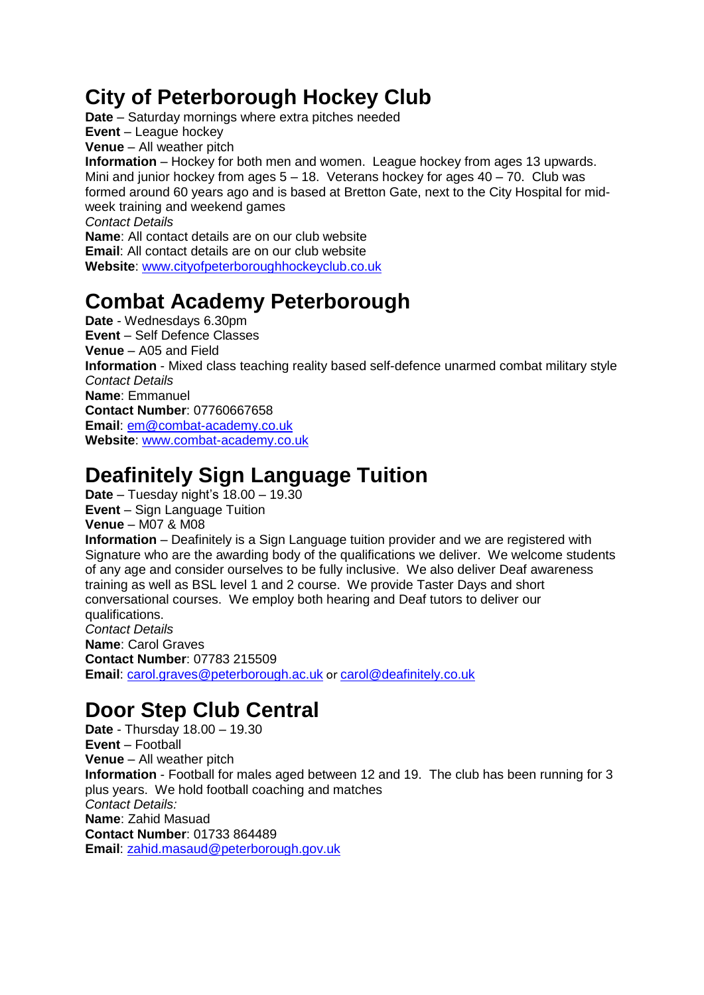## **City of Peterborough Hockey Club**

**Date** – Saturday mornings where extra pitches needed **Event** – League hockey **Venue** – All weather pitch **Information** – Hockey for both men and women. League hockey from ages 13 upwards. Mini and junior hockey from ages  $5 - 18$ . Veterans hockey for ages  $40 - 70$ . Club was formed around 60 years ago and is based at Bretton Gate, next to the City Hospital for midweek training and weekend games *Contact Details* **Name**: All contact details are on our club website **Email**: All contact details are on our club website **Website**: [www.cityofpeterboroughhockeyclub.co.uk](http://www.cityofpeterboroughhockeyclub.co.uk/)

# **Combat Academy Peterborough**

**Date** - Wednesdays 6.30pm **Event** – Self Defence Classes **Venue** – A05 and Field **Information** - Mixed class teaching reality based self-defence unarmed combat military style *Contact Details* **Name**: Emmanuel **Contact Number**: 07760667658 **Email**: [em@combat-academy.co.uk](mailto:em@combat-academy.co.uk) **Website**: [www.combat-academy.co.uk](http://www.combat-academy.co.uk/)

# **Deafinitely Sign Language Tuition**

**Date** – Tuesday night's 18.00 – 19.30 **Event** – Sign Language Tuition **Venue** – M07 & M08 **Information** – Deafinitely is a Sign Language tuition provider and we are registered with Signature who are the awarding body of the qualifications we deliver. We welcome students of any age and consider ourselves to be fully inclusive. We also deliver Deaf awareness training as well as BSL level 1 and 2 course. We provide Taster Days and short conversational courses. We employ both hearing and Deaf tutors to deliver our qualifications. *Contact Details* **Name**: Carol Graves **Contact Number**: 07783 215509 **Email**: [carol.graves@peterborough.ac.uk](mailto:carol.graves@peterborough.ac.uk) or [carol@deafinitely.co.uk](mailto:carol@deafinitely.co.uk)

# **Door Step Club Central**

**Date** - Thursday 18.00 – 19.30 **Event** – Football **Venue** – All weather pitch **Information** - Football for males aged between 12 and 19. The club has been running for 3 plus years. We hold football coaching and matches *Contact Details:* **Name**: Zahid Masuad **Contact Number**: 01733 864489 **Email**: [zahid.masaud@peterborough.gov.uk](mailto:zahid.masaud@peterborough.gov.uk)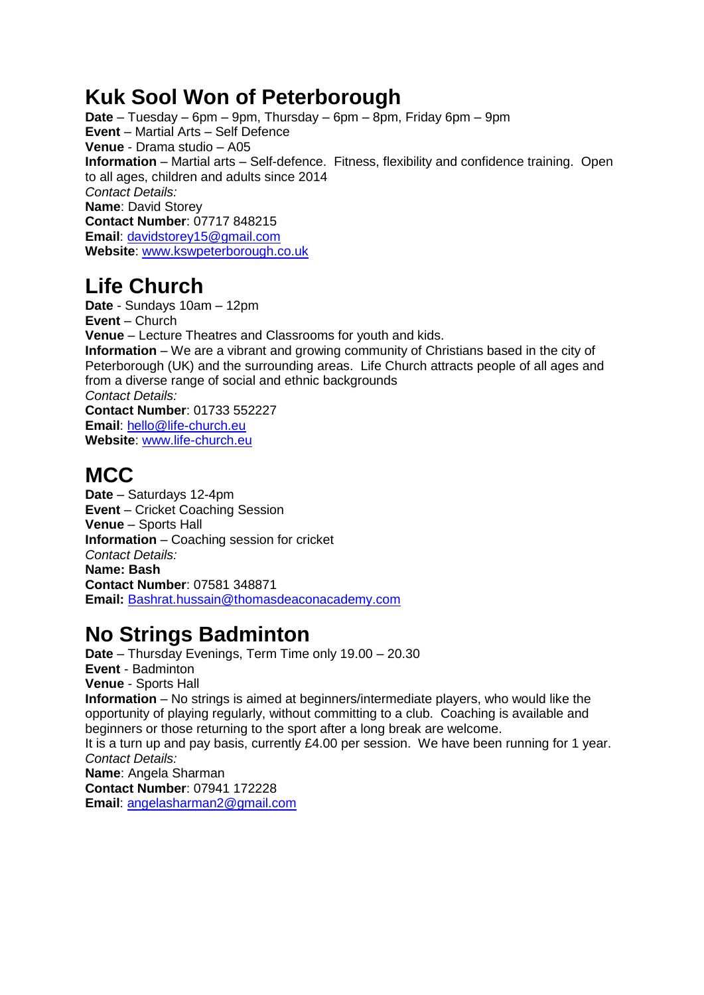### **Kuk Sool Won of Peterborough**

**Date** – Tuesday – 6pm – 9pm, Thursday – 6pm – 8pm, Friday 6pm – 9pm **Event** – Martial Arts – Self Defence **Venue** - Drama studio – A05 **Information** – Martial arts – Self-defence. Fitness, flexibility and confidence training. Open to all ages, children and adults since 2014 *Contact Details:* **Name**: David Storey **Contact Number**: 07717 848215 **Email**: [davidstorey15@gmail.com](mailto:davidstorey15@gmail.com) **Website**: [www.kswpeterborough.co.uk](http://www.kswpeterborough.co.uk/)

# **Life Church**

**Date** - Sundays 10am – 12pm **Event** – Church **Venue** – Lecture Theatres and Classrooms for youth and kids. **Information** – We are a vibrant and growing community of Christians based in the city of Peterborough (UK) and the surrounding areas. Life Church attracts people of all ages and from a diverse range of social and ethnic backgrounds *Contact Details:* **Contact Number**: 01733 552227 **Email**: [hello@life-church.eu](mailto:hello@life-church.eu) **Website**: [www.life-church.eu](http://www.life-church.eu/)

# **MCC**

**Date** – Saturdays 12-4pm **Event** – Cricket Coaching Session **Venue** – Sports Hall **Information** – Coaching session for cricket *Contact Details:* **Name: Bash Contact Number**: 07581 348871 **Email:** [Bashrat.hussain@thomasdeaconacademy.com](mailto:Bashrat.hussain@thomasdeaconacademy.com)

# **No Strings Badminton**

**Date** – Thursday Evenings, Term Time only 19.00 – 20.30 **Event** - Badminton **Venue** - Sports Hall **Information** – No strings is aimed at beginners/intermediate players, who would like the opportunity of playing regularly, without committing to a club. Coaching is available and beginners or those returning to the sport after a long break are welcome. It is a turn up and pay basis, currently £4.00 per session. We have been running for 1 year. *Contact Details:* **Name**: Angela Sharman **Contact Number**: 07941 172228 **Email**: [angelasharman2@gmail.com](mailto:angelasharman2@gmail.com)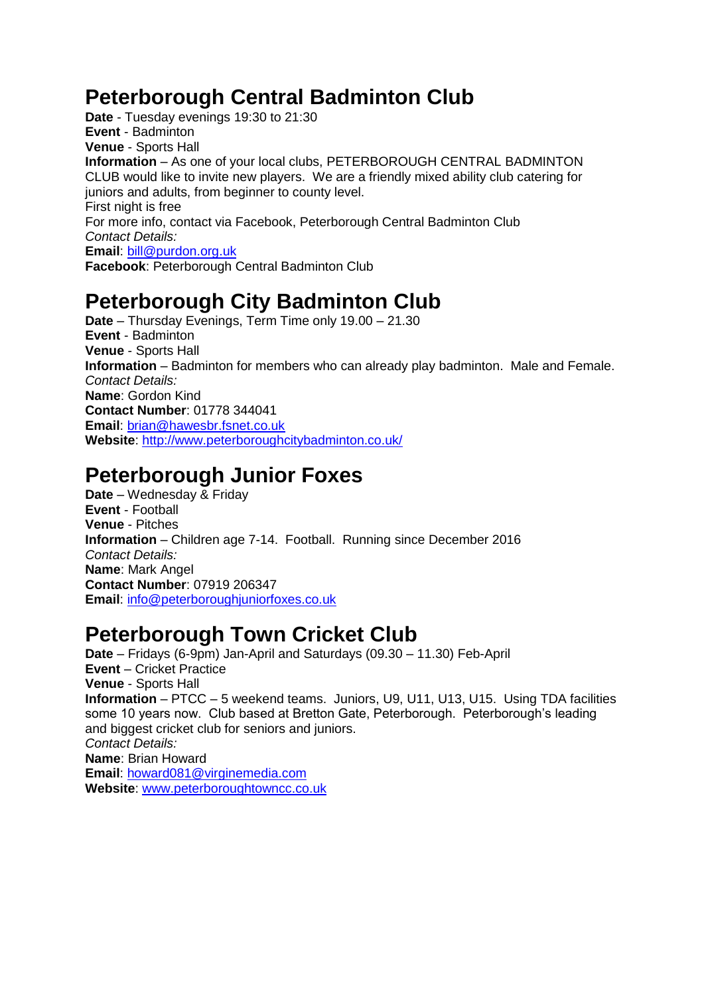# **Peterborough Central Badminton Club**

**Date** - Tuesday evenings 19:30 to 21:30 **Event** - Badminton **Venue** - Sports Hall **Information** – As one of your local clubs, PETERBOROUGH CENTRAL BADMINTON CLUB would like to invite new players. We are a friendly mixed ability club catering for juniors and adults, from beginner to county level. First night is free For more info, contact via Facebook, Peterborough Central Badminton Club *Contact Details:* **Email**: [bill@purdon.org.uk](mailto:bill@purdon.org.uk) **Facebook**: Peterborough Central Badminton Club

## **Peterborough City Badminton Club**

**Date** – Thursday Evenings, Term Time only 19.00 – 21.30 **Event** - Badminton **Venue** - Sports Hall **Information** – Badminton for members who can already play badminton. Male and Female. *Contact Details:* **Name**: Gordon Kind **Contact Number**: 01778 344041 **Email**: [brian@hawesbr.fsnet.co.uk](mailto:brian@hawesbr.fsnet.co.uk) **Website**:<http://www.peterboroughcitybadminton.co.uk/>

#### **Peterborough Junior Foxes**

**Date** – Wednesday & Friday **Event** - Football **Venue** - Pitches **Information** – Children age 7-14. Football. Running since December 2016 *Contact Details:* **Name**: Mark Angel **Contact Number**: 07919 206347 **Email**: [info@peterboroughjuniorfoxes.co.uk](mailto:info@peterboroughjuniorfoxes.co.uk)

### **Peterborough Town Cricket Club**

**Date** – Fridays (6-9pm) Jan-April and Saturdays (09.30 – 11.30) Feb-April **Event** – Cricket Practice **Venue** - Sports Hall **Information** – PTCC – 5 weekend teams. Juniors, U9, U11, U13, U15. Using TDA facilities some 10 years now. Club based at Bretton Gate, Peterborough. Peterborough's leading and biggest cricket club for seniors and juniors. *Contact Details:* **Name**: Brian Howard **Email**: [howard081@virginemedia.com](mailto:howard081@virginemedia.com) **Website**: [www.peterboroughtowncc.co.uk](http://www.peterboroughtowncc.co.uk/)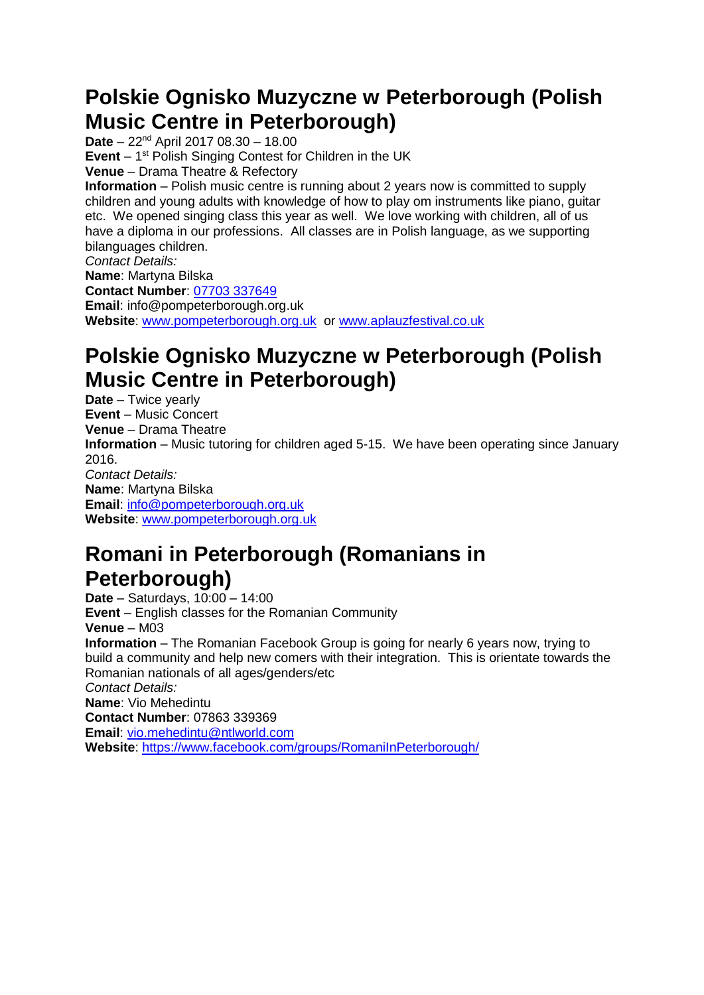### **Polskie Ognisko Muzyczne w Peterborough (Polish Music Centre in Peterborough)**

**Date** – 22nd April 2017 08.30 – 18.00 **Event** – 1<sup>st</sup> Polish Singing Contest for Children in the UK **Venue** – Drama Theatre & Refectory **Information** – Polish music centre is running about 2 years now is committed to supply children and young adults with knowledge of how to play om instruments like piano, guitar etc. We opened singing class this year as well. We love working with children, all of us have a diploma in our professions. All classes are in Polish language, as we supporting bilanguages children. *Contact Details:* **Name**: Martyna Bilska **Contact Number**: [07703](mailto:joannbernat@gmail.com) 337649 **Email**: info@pompeterborough.org.uk **Website**: [www.pompeterborough.org.uk](http://www.pompeterborough.org.uk/) or [www.aplauzfestival.co.uk](http://www.aplauzfestival.co.uk/)

## **Polskie Ognisko Muzyczne w Peterborough (Polish Music Centre in Peterborough)**

**Date** – Twice yearly **Event** – Music Concert **Venue** – Drama Theatre **Information** – Music tutoring for children aged 5-15. We have been operating since January 2016. *Contact Details:* **Name**: Martyna Bilska **Email**: [info@pompeterborough.org.uk](mailto:info@pompeterborough.org.uk) **Website**: [www.pompeterborough.org.uk](http://www.pompeterborough.org.uk/)

### **Romani in Peterborough (Romanians in Peterborough)**

**Date** – Saturdays, 10:00 – 14:00 **Event** – English classes for the Romanian Community **Venue** – M03 **Information** – The Romanian Facebook Group is going for nearly 6 years now, trying to build a community and help new comers with their integration. This is orientate towards the Romanian nationals of all ages/genders/etc *Contact Details:* **Name**: Vio Mehedintu **Contact Number**: 07863 339369 **Email**: [vio.mehedintu@ntlworld.com](mailto:vio.mehedintu@ntlworld.com) Website:<https://www.facebook.com/groups/RomaniInPeterborough/>